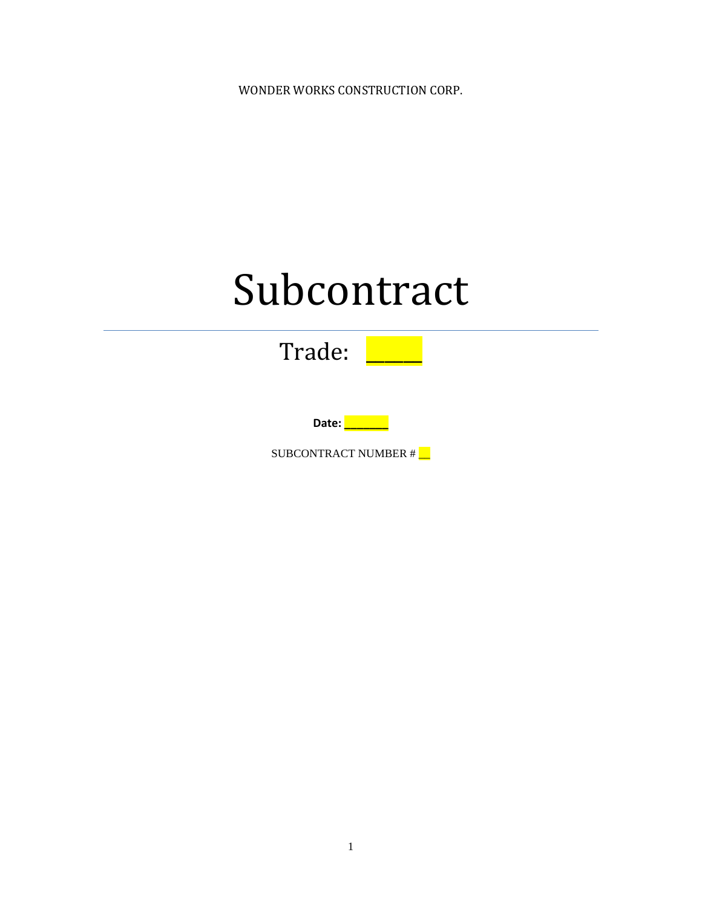WONDER WORKS CONSTRUCTION CORP.

# Subcontract



**Date: \_\_\_\_\_\_\_**

SUBCONTRACT NUMBER #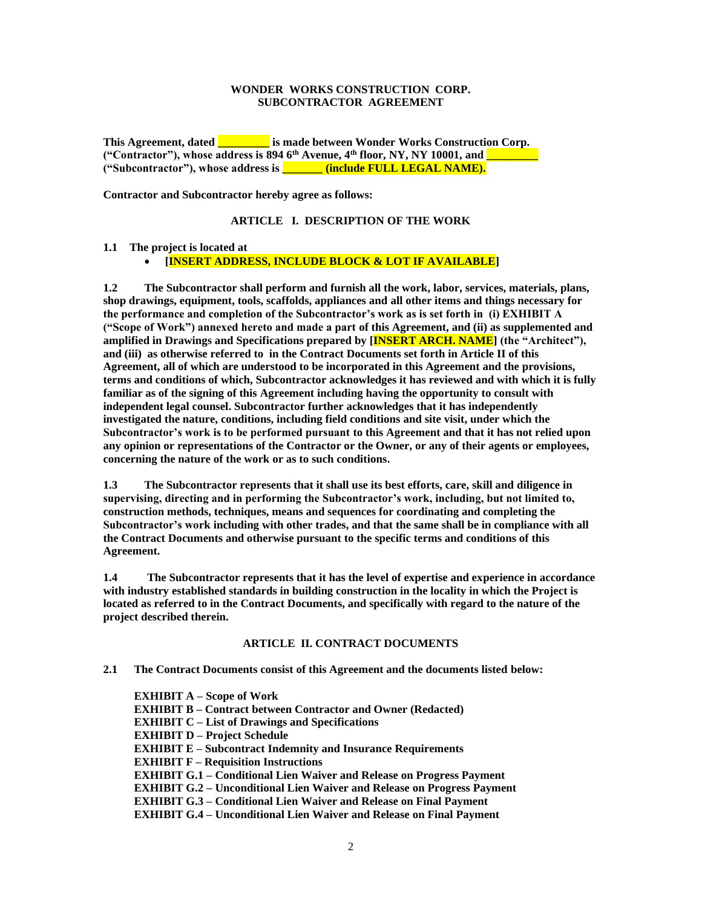## **WONDER WORKS CONSTRUCTION CORP. SUBCONTRACTOR AGREEMENT**

**This Agreement, dated \_\_\_\_\_\_\_\_\_ is made between Wonder Works Construction Corp. ("Contractor"), whose address is 894 6th Avenue, 4th floor, NY, NY 10001, and \_\_\_\_\_\_\_\_\_ ("Subcontractor"), whose address is \_\_\_\_\_\_\_ (include FULL LEGAL NAME).**

**Contractor and Subcontractor hereby agree as follows:**

## **ARTICLE I. DESCRIPTION OF THE WORK**

## **1.1 The project is located at**

# • **[INSERT ADDRESS, INCLUDE BLOCK & LOT IF AVAILABLE]**

**1.2 The Subcontractor shall perform and furnish all the work, labor, services, materials, plans, shop drawings, equipment, tools, scaffolds, appliances and all other items and things necessary for the performance and completion of the Subcontractor's work as is set forth in (i) EXHIBIT A ("Scope of Work") annexed hereto and made a part of this Agreement, and (ii) as supplemented and amplified in Drawings and Specifications prepared by [INSERT ARCH. NAME] (the "Architect"), and (iii) as otherwise referred to in the Contract Documents set forth in Article II of this Agreement, all of which are understood to be incorporated in this Agreement and the provisions, terms and conditions of which, Subcontractor acknowledges it has reviewed and with which it is fully familiar as of the signing of this Agreement including having the opportunity to consult with independent legal counsel. Subcontractor further acknowledges that it has independently investigated the nature, conditions, including field conditions and site visit, under which the Subcontractor's work is to be performed pursuant to this Agreement and that it has not relied upon any opinion or representations of the Contractor or the Owner, or any of their agents or employees, concerning the nature of the work or as to such conditions.**

**1.3 The Subcontractor represents that it shall use its best efforts, care, skill and diligence in supervising, directing and in performing the Subcontractor's work, including, but not limited to, construction methods, techniques, means and sequences for coordinating and completing the Subcontractor's work including with other trades, and that the same shall be in compliance with all the Contract Documents and otherwise pursuant to the specific terms and conditions of this Agreement.**

**1.4 The Subcontractor represents that it has the level of expertise and experience in accordance with industry established standards in building construction in the locality in which the Project is located as referred to in the Contract Documents, and specifically with regard to the nature of the project described therein.**

## **ARTICLE II. CONTRACT DOCUMENTS**

**2.1 The Contract Documents consist of this Agreement and the documents listed below:**

**EXHIBIT A – Scope of Work EXHIBIT B – Contract between Contractor and Owner (Redacted) EXHIBIT C – List of Drawings and Specifications EXHIBIT D – Project Schedule EXHIBIT E – Subcontract Indemnity and Insurance Requirements EXHIBIT F – Requisition Instructions EXHIBIT G.1 – Conditional Lien Waiver and Release on Progress Payment EXHIBIT G.2 – Unconditional Lien Waiver and Release on Progress Payment EXHIBIT G.3 – Conditional Lien Waiver and Release on Final Payment EXHIBIT G.4 – Unconditional Lien Waiver and Release on Final Payment**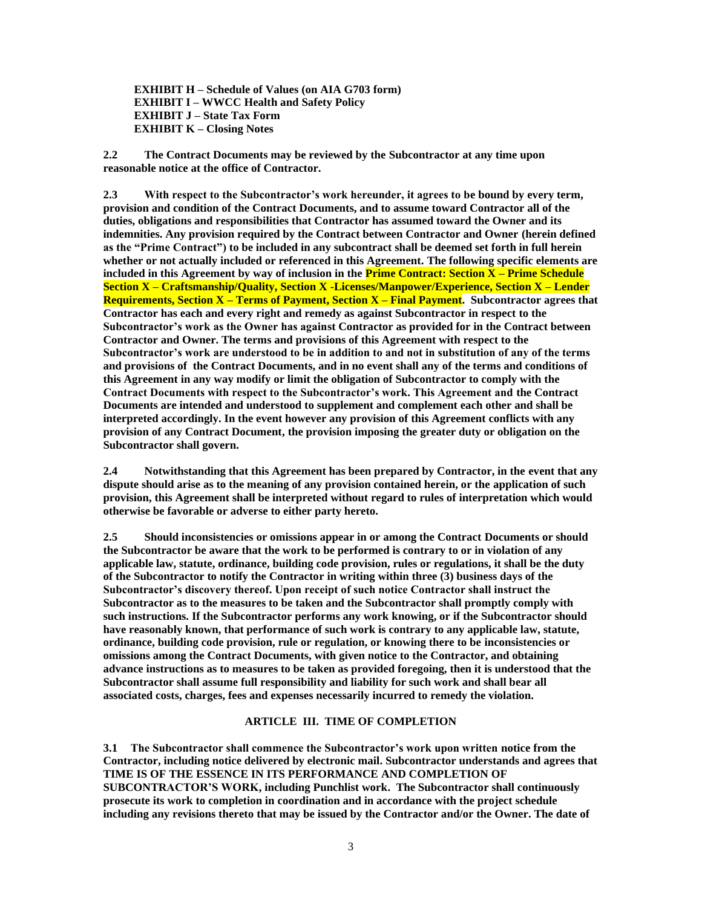**EXHIBIT H – Schedule of Values (on AIA G703 form) EXHIBIT I – WWCC Health and Safety Policy EXHIBIT J – State Tax Form EXHIBIT K – Closing Notes** 

**2.2 The Contract Documents may be reviewed by the Subcontractor at any time upon reasonable notice at the office of Contractor.**

**2.3 With respect to the Subcontractor's work hereunder, it agrees to be bound by every term, provision and condition of the Contract Documents, and to assume toward Contractor all of the duties, obligations and responsibilities that Contractor has assumed toward the Owner and its indemnities. Any provision required by the Contract between Contractor and Owner (herein defined as the "Prime Contract") to be included in any subcontract shall be deemed set forth in full herein whether or not actually included or referenced in this Agreement. The following specific elements are included in this Agreement by way of inclusion in the Prime Contract: Section X – Prime Schedule Section X – Craftsmanship/Quality, Section X -Licenses/Manpower/Experience, Section X – Lender Requirements, Section X – Terms of Payment, Section X – Final Payment. Subcontractor agrees that Contractor has each and every right and remedy as against Subcontractor in respect to the Subcontractor's work as the Owner has against Contractor as provided for in the Contract between Contractor and Owner. The terms and provisions of this Agreement with respect to the Subcontractor's work are understood to be in addition to and not in substitution of any of the terms and provisions of the Contract Documents, and in no event shall any of the terms and conditions of this Agreement in any way modify or limit the obligation of Subcontractor to comply with the Contract Documents with respect to the Subcontractor's work. This Agreement and the Contract Documents are intended and understood to supplement and complement each other and shall be interpreted accordingly. In the event however any provision of this Agreement conflicts with any provision of any Contract Document, the provision imposing the greater duty or obligation on the Subcontractor shall govern.**

**2.4 Notwithstanding that this Agreement has been prepared by Contractor, in the event that any dispute should arise as to the meaning of any provision contained herein, or the application of such provision, this Agreement shall be interpreted without regard to rules of interpretation which would otherwise be favorable or adverse to either party hereto.**

**2.5 Should inconsistencies or omissions appear in or among the Contract Documents or should the Subcontractor be aware that the work to be performed is contrary to or in violation of any applicable law, statute, ordinance, building code provision, rules or regulations, it shall be the duty of the Subcontractor to notify the Contractor in writing within three (3) business days of the Subcontractor's discovery thereof. Upon receipt of such notice Contractor shall instruct the Subcontractor as to the measures to be taken and the Subcontractor shall promptly comply with such instructions. If the Subcontractor performs any work knowing, or if the Subcontractor should have reasonably known, that performance of such work is contrary to any applicable law, statute, ordinance, building code provision, rule or regulation, or knowing there to be inconsistencies or omissions among the Contract Documents, with given notice to the Contractor, and obtaining advance instructions as to measures to be taken as provided foregoing, then it is understood that the Subcontractor shall assume full responsibility and liability for such work and shall bear all associated costs, charges, fees and expenses necessarily incurred to remedy the violation.**

## **ARTICLE III. TIME OF COMPLETION**

**3.1 The Subcontractor shall commence the Subcontractor's work upon written notice from the Contractor, including notice delivered by electronic mail. Subcontractor understands and agrees that TIME IS OF THE ESSENCE IN ITS PERFORMANCE AND COMPLETION OF SUBCONTRACTOR'S WORK, including Punchlist work. The Subcontractor shall continuously prosecute its work to completion in coordination and in accordance with the project schedule including any revisions thereto that may be issued by the Contractor and/or the Owner. The date of**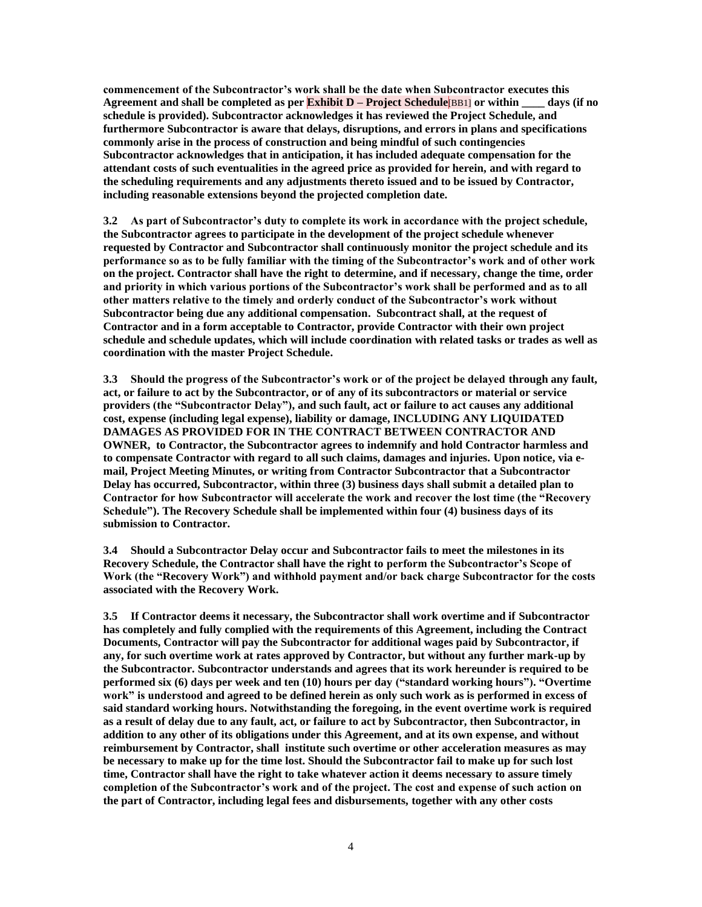**commencement of the Subcontractor's work shall be the date when Subcontractor executes this Agreement and shall be completed as per Exhibit D – Project Schedule**[BB1] **or within \_\_\_\_ days (if no schedule is provided). Subcontractor acknowledges it has reviewed the Project Schedule, and furthermore Subcontractor is aware that delays, disruptions, and errors in plans and specifications commonly arise in the process of construction and being mindful of such contingencies Subcontractor acknowledges that in anticipation, it has included adequate compensation for the attendant costs of such eventualities in the agreed price as provided for herein, and with regard to the scheduling requirements and any adjustments thereto issued and to be issued by Contractor, including reasonable extensions beyond the projected completion date.**

**3.2 As part of Subcontractor's duty to complete its work in accordance with the project schedule, the Subcontractor agrees to participate in the development of the project schedule whenever requested by Contractor and Subcontractor shall continuously monitor the project schedule and its performance so as to be fully familiar with the timing of the Subcontractor's work and of other work on the project. Contractor shall have the right to determine, and if necessary, change the time, order and priority in which various portions of the Subcontractor's work shall be performed and as to all other matters relative to the timely and orderly conduct of the Subcontractor's work without Subcontractor being due any additional compensation. Subcontract shall, at the request of Contractor and in a form acceptable to Contractor, provide Contractor with their own project schedule and schedule updates, which will include coordination with related tasks or trades as well as coordination with the master Project Schedule.**

**3.3 Should the progress of the Subcontractor's work or of the project be delayed through any fault, act, or failure to act by the Subcontractor, or of any of its subcontractors or material or service providers (the "Subcontractor Delay"), and such fault, act or failure to act causes any additional cost, expense (including legal expense), liability or damage, INCLUDING ANY LIQUIDATED DAMAGES AS PROVIDED FOR IN THE CONTRACT BETWEEN CONTRACTOR AND OWNER, to Contractor, the Subcontractor agrees to indemnify and hold Contractor harmless and to compensate Contractor with regard to all such claims, damages and injuries. Upon notice, via email, Project Meeting Minutes, or writing from Contractor Subcontractor that a Subcontractor Delay has occurred, Subcontractor, within three (3) business days shall submit a detailed plan to Contractor for how Subcontractor will accelerate the work and recover the lost time (the "Recovery Schedule"). The Recovery Schedule shall be implemented within four (4) business days of its submission to Contractor.**

**3.4 Should a Subcontractor Delay occur and Subcontractor fails to meet the milestones in its Recovery Schedule, the Contractor shall have the right to perform the Subcontractor's Scope of Work (the "Recovery Work") and withhold payment and/or back charge Subcontractor for the costs associated with the Recovery Work.** 

**3.5 If Contractor deems it necessary, the Subcontractor shall work overtime and if Subcontractor has completely and fully complied with the requirements of this Agreement, including the Contract Documents, Contractor will pay the Subcontractor for additional wages paid by Subcontractor, if any, for such overtime work at rates approved by Contractor, but without any further mark-up by the Subcontractor. Subcontractor understands and agrees that its work hereunder is required to be performed six (6) days per week and ten (10) hours per day ("standard working hours"). "Overtime work" is understood and agreed to be defined herein as only such work as is performed in excess of said standard working hours. Notwithstanding the foregoing, in the event overtime work is required as a result of delay due to any fault, act, or failure to act by Subcontractor, then Subcontractor, in addition to any other of its obligations under this Agreement, and at its own expense, and without reimbursement by Contractor, shall institute such overtime or other acceleration measures as may be necessary to make up for the time lost. Should the Subcontractor fail to make up for such lost time, Contractor shall have the right to take whatever action it deems necessary to assure timely completion of the Subcontractor's work and of the project. The cost and expense of such action on the part of Contractor, including legal fees and disbursements, together with any other costs**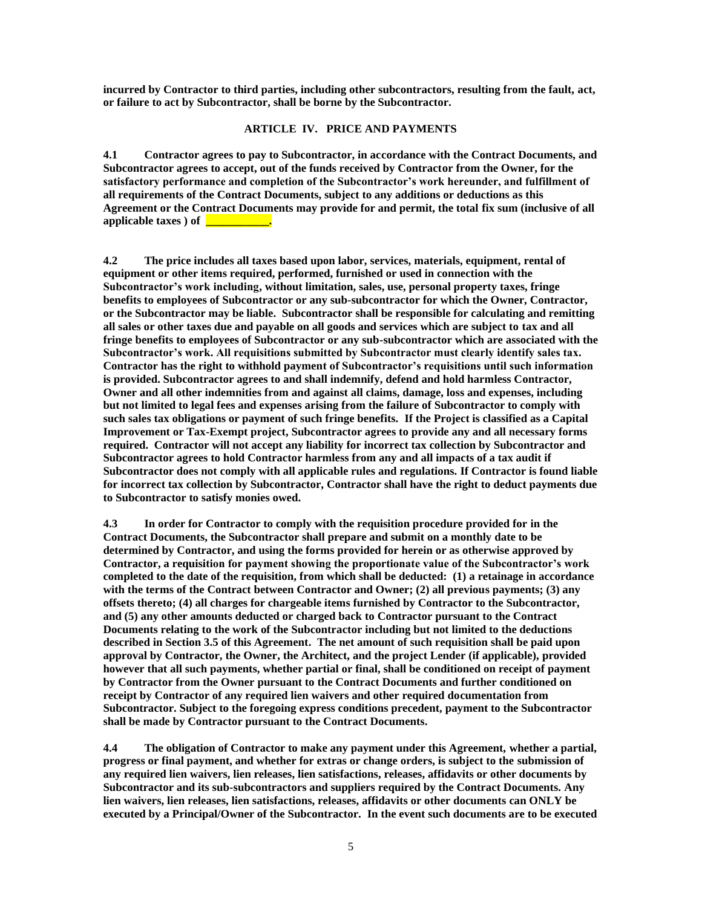**incurred by Contractor to third parties, including other subcontractors, resulting from the fault, act, or failure to act by Subcontractor, shall be borne by the Subcontractor.**

### **ARTICLE IV. PRICE AND PAYMENTS**

**4.1 Contractor agrees to pay to Subcontractor, in accordance with the Contract Documents, and Subcontractor agrees to accept, out of the funds received by Contractor from the Owner, for the satisfactory performance and completion of the Subcontractor's work hereunder, and fulfillment of all requirements of the Contract Documents, subject to any additions or deductions as this Agreement or the Contract Documents may provide for and permit, the total fix sum (inclusive of all applicable taxes ) of \_\_\_\_\_\_\_\_\_\_\_.**

**4.2 The price includes all taxes based upon labor, services, materials, equipment, rental of equipment or other items required, performed, furnished or used in connection with the Subcontractor's work including, without limitation, sales, use, personal property taxes, fringe benefits to employees of Subcontractor or any sub-subcontractor for which the Owner, Contractor, or the Subcontractor may be liable. Subcontractor shall be responsible for calculating and remitting all sales or other taxes due and payable on all goods and services which are subject to tax and all fringe benefits to employees of Subcontractor or any sub-subcontractor which are associated with the Subcontractor's work. All requisitions submitted by Subcontractor must clearly identify sales tax. Contractor has the right to withhold payment of Subcontractor's requisitions until such information is provided. Subcontractor agrees to and shall indemnify, defend and hold harmless Contractor, Owner and all other indemnities from and against all claims, damage, loss and expenses, including but not limited to legal fees and expenses arising from the failure of Subcontractor to comply with such sales tax obligations or payment of such fringe benefits. If the Project is classified as a Capital Improvement or Tax-Exempt project, Subcontractor agrees to provide any and all necessary forms required. Contractor will not accept any liability for incorrect tax collection by Subcontractor and Subcontractor agrees to hold Contractor harmless from any and all impacts of a tax audit if Subcontractor does not comply with all applicable rules and regulations. If Contractor is found liable for incorrect tax collection by Subcontractor, Contractor shall have the right to deduct payments due to Subcontractor to satisfy monies owed.** 

**4.3 In order for Contractor to comply with the requisition procedure provided for in the Contract Documents, the Subcontractor shall prepare and submit on a monthly date to be determined by Contractor, and using the forms provided for herein or as otherwise approved by Contractor, a requisition for payment showing the proportionate value of the Subcontractor's work completed to the date of the requisition, from which shall be deducted: (1) a retainage in accordance with the terms of the Contract between Contractor and Owner; (2) all previous payments; (3) any offsets thereto; (4) all charges for chargeable items furnished by Contractor to the Subcontractor, and (5) any other amounts deducted or charged back to Contractor pursuant to the Contract Documents relating to the work of the Subcontractor including but not limited to the deductions described in Section 3.5 of this Agreement. The net amount of such requisition shall be paid upon approval by Contractor, the Owner, the Architect, and the project Lender (if applicable), provided however that all such payments, whether partial or final, shall be conditioned on receipt of payment by Contractor from the Owner pursuant to the Contract Documents and further conditioned on receipt by Contractor of any required lien waivers and other required documentation from Subcontractor. Subject to the foregoing express conditions precedent, payment to the Subcontractor shall be made by Contractor pursuant to the Contract Documents.**

**4.4 The obligation of Contractor to make any payment under this Agreement, whether a partial, progress or final payment, and whether for extras or change orders, is subject to the submission of any required lien waivers, lien releases, lien satisfactions, releases, affidavits or other documents by Subcontractor and its sub-subcontractors and suppliers required by the Contract Documents. Any lien waivers, lien releases, lien satisfactions, releases, affidavits or other documents can ONLY be executed by a Principal/Owner of the Subcontractor. In the event such documents are to be executed**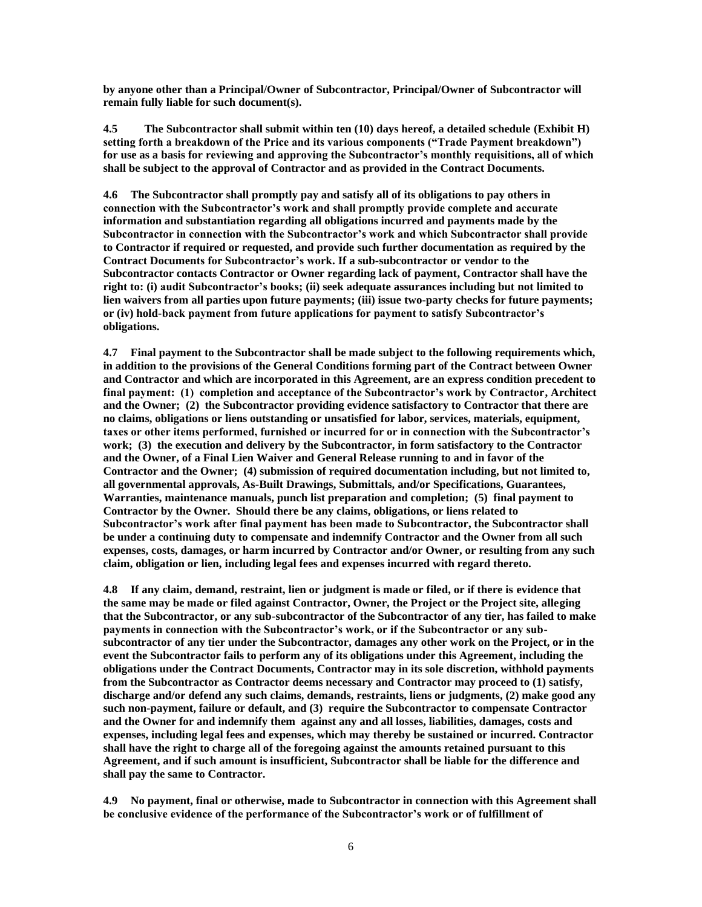**by anyone other than a Principal/Owner of Subcontractor, Principal/Owner of Subcontractor will remain fully liable for such document(s).**

**4.5 The Subcontractor shall submit within ten (10) days hereof, a detailed schedule (Exhibit H) setting forth a breakdown of the Price and its various components ("Trade Payment breakdown") for use as a basis for reviewing and approving the Subcontractor's monthly requisitions, all of which shall be subject to the approval of Contractor and as provided in the Contract Documents.**

**4.6 The Subcontractor shall promptly pay and satisfy all of its obligations to pay others in connection with the Subcontractor's work and shall promptly provide complete and accurate information and substantiation regarding all obligations incurred and payments made by the Subcontractor in connection with the Subcontractor's work and which Subcontractor shall provide to Contractor if required or requested, and provide such further documentation as required by the Contract Documents for Subcontractor's work. If a sub-subcontractor or vendor to the Subcontractor contacts Contractor or Owner regarding lack of payment, Contractor shall have the right to: (i) audit Subcontractor's books; (ii) seek adequate assurances including but not limited to lien waivers from all parties upon future payments; (iii) issue two-party checks for future payments; or (iv) hold-back payment from future applications for payment to satisfy Subcontractor's obligations.** 

**4.7 Final payment to the Subcontractor shall be made subject to the following requirements which, in addition to the provisions of the General Conditions forming part of the Contract between Owner and Contractor and which are incorporated in this Agreement, are an express condition precedent to final payment: (1) completion and acceptance of the Subcontractor's work by Contractor, Architect and the Owner; (2) the Subcontractor providing evidence satisfactory to Contractor that there are no claims, obligations or liens outstanding or unsatisfied for labor, services, materials, equipment, taxes or other items performed, furnished or incurred for or in connection with the Subcontractor's work; (3) the execution and delivery by the Subcontractor, in form satisfactory to the Contractor and the Owner, of a Final Lien Waiver and General Release running to and in favor of the Contractor and the Owner; (4) submission of required documentation including, but not limited to, all governmental approvals, As-Built Drawings, Submittals, and/or Specifications, Guarantees, Warranties, maintenance manuals, punch list preparation and completion; (5) final payment to Contractor by the Owner. Should there be any claims, obligations, or liens related to Subcontractor's work after final payment has been made to Subcontractor, the Subcontractor shall be under a continuing duty to compensate and indemnify Contractor and the Owner from all such expenses, costs, damages, or harm incurred by Contractor and/or Owner, or resulting from any such claim, obligation or lien, including legal fees and expenses incurred with regard thereto.**

**4.8 If any claim, demand, restraint, lien or judgment is made or filed, or if there is evidence that the same may be made or filed against Contractor, Owner, the Project or the Project site, alleging that the Subcontractor, or any sub-subcontractor of the Subcontractor of any tier, has failed to make payments in connection with the Subcontractor's work, or if the Subcontractor or any subsubcontractor of any tier under the Subcontractor, damages any other work on the Project, or in the event the Subcontractor fails to perform any of its obligations under this Agreement, including the obligations under the Contract Documents, Contractor may in its sole discretion, withhold payments from the Subcontractor as Contractor deems necessary and Contractor may proceed to (1) satisfy, discharge and/or defend any such claims, demands, restraints, liens or judgments, (2) make good any such non-payment, failure or default, and (3) require the Subcontractor to compensate Contractor and the Owner for and indemnify them against any and all losses, liabilities, damages, costs and expenses, including legal fees and expenses, which may thereby be sustained or incurred. Contractor shall have the right to charge all of the foregoing against the amounts retained pursuant to this Agreement, and if such amount is insufficient, Subcontractor shall be liable for the difference and shall pay the same to Contractor.**

**4.9 No payment, final or otherwise, made to Subcontractor in connection with this Agreement shall be conclusive evidence of the performance of the Subcontractor's work or of fulfillment of**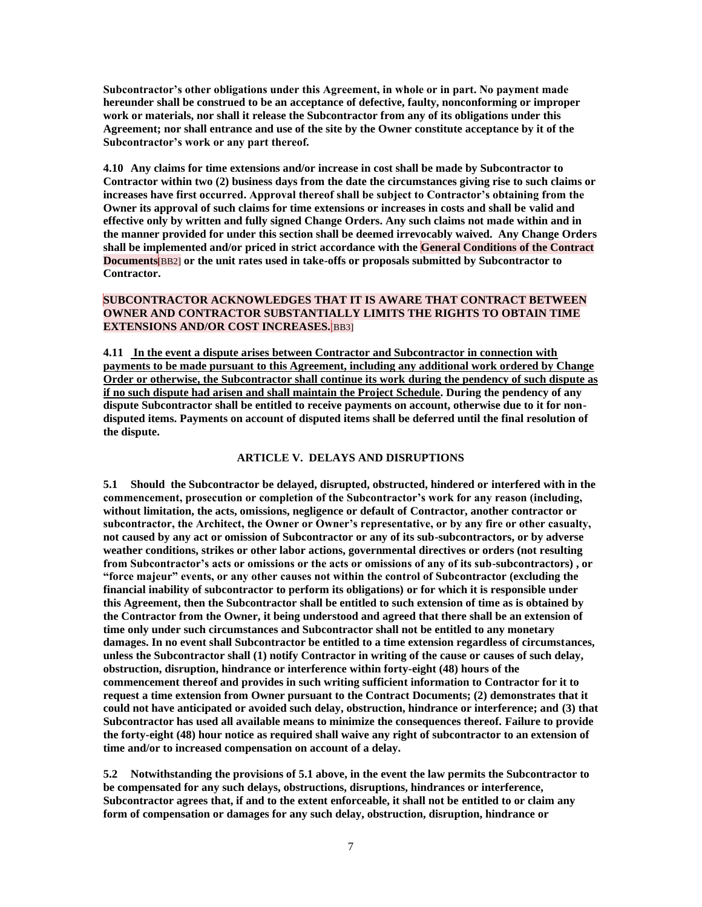**Subcontractor's other obligations under this Agreement, in whole or in part. No payment made hereunder shall be construed to be an acceptance of defective, faulty, nonconforming or improper work or materials, nor shall it release the Subcontractor from any of its obligations under this Agreement; nor shall entrance and use of the site by the Owner constitute acceptance by it of the Subcontractor's work or any part thereof.**

**4.10 Any claims for time extensions and/or increase in cost shall be made by Subcontractor to Contractor within two (2) business days from the date the circumstances giving rise to such claims or increases have first occurred. Approval thereof shall be subject to Contractor's obtaining from the Owner its approval of such claims for time extensions or increases in costs and shall be valid and effective only by written and fully signed Change Orders. Any such claims not made within and in the manner provided for under this section shall be deemed irrevocably waived. Any Change Orders shall be implemented and/or priced in strict accordance with the General Conditions of the Contract Documents**[BB2] **or the unit rates used in take-offs or proposals submitted by Subcontractor to Contractor.** 

## **SUBCONTRACTOR ACKNOWLEDGES THAT IT IS AWARE THAT CONTRACT BETWEEN OWNER AND CONTRACTOR SUBSTANTIALLY LIMITS THE RIGHTS TO OBTAIN TIME EXTENSIONS AND/OR COST INCREASES.**[BB3]

**4.11 In the event a dispute arises between Contractor and Subcontractor in connection with payments to be made pursuant to this Agreement, including any additional work ordered by Change Order or otherwise, the Subcontractor shall continue its work during the pendency of such dispute as if no such dispute had arisen and shall maintain the Project Schedule. During the pendency of any dispute Subcontractor shall be entitled to receive payments on account, otherwise due to it for nondisputed items. Payments on account of disputed items shall be deferred until the final resolution of the dispute.**

#### **ARTICLE V. DELAYS AND DISRUPTIONS**

**5.1 Should the Subcontractor be delayed, disrupted, obstructed, hindered or interfered with in the commencement, prosecution or completion of the Subcontractor's work for any reason (including, without limitation, the acts, omissions, negligence or default of Contractor, another contractor or subcontractor, the Architect, the Owner or Owner's representative, or by any fire or other casualty, not caused by any act or omission of Subcontractor or any of its sub-subcontractors, or by adverse weather conditions, strikes or other labor actions, governmental directives or orders (not resulting from Subcontractor's acts or omissions or the acts or omissions of any of its sub-subcontractors) , or "force majeur" events, or any other causes not within the control of Subcontractor (excluding the financial inability of subcontractor to perform its obligations) or for which it is responsible under this Agreement, then the Subcontractor shall be entitled to such extension of time as is obtained by the Contractor from the Owner, it being understood and agreed that there shall be an extension of time only under such circumstances and Subcontractor shall not be entitled to any monetary damages. In no event shall Subcontractor be entitled to a time extension regardless of circumstances, unless the Subcontractor shall (1) notify Contractor in writing of the cause or causes of such delay, obstruction, disruption, hindrance or interference within forty-eight (48) hours of the commencement thereof and provides in such writing sufficient information to Contractor for it to request a time extension from Owner pursuant to the Contract Documents; (2) demonstrates that it could not have anticipated or avoided such delay, obstruction, hindrance or interference; and (3) that Subcontractor has used all available means to minimize the consequences thereof. Failure to provide the forty-eight (48) hour notice as required shall waive any right of subcontractor to an extension of time and/or to increased compensation on account of a delay.** 

**5.2 Notwithstanding the provisions of 5.1 above, in the event the law permits the Subcontractor to be compensated for any such delays, obstructions, disruptions, hindrances or interference, Subcontractor agrees that, if and to the extent enforceable, it shall not be entitled to or claim any form of compensation or damages for any such delay, obstruction, disruption, hindrance or**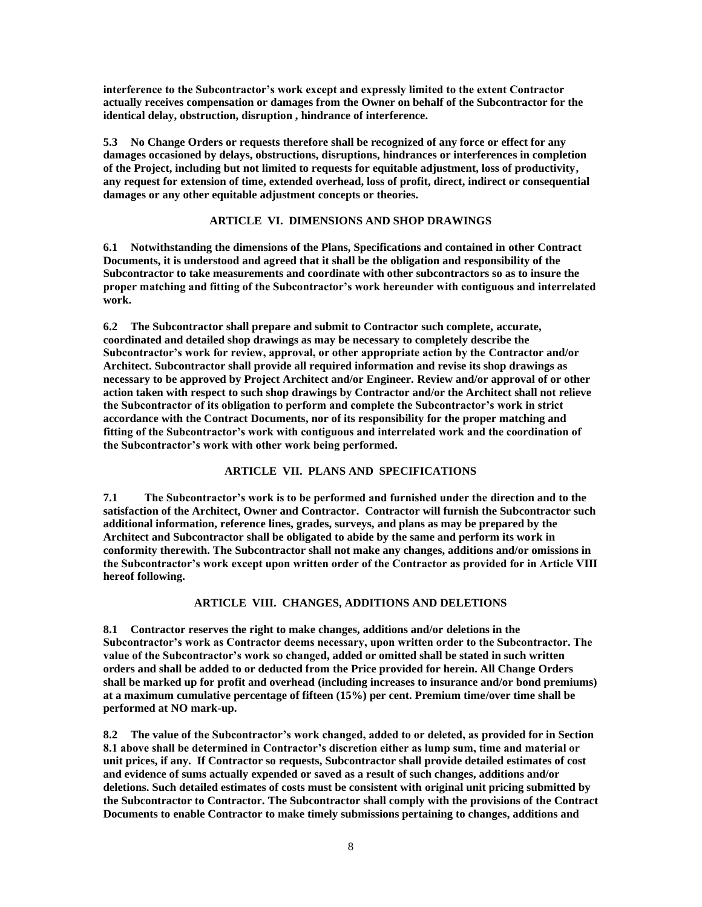**interference to the Subcontractor's work except and expressly limited to the extent Contractor actually receives compensation or damages from the Owner on behalf of the Subcontractor for the identical delay, obstruction, disruption , hindrance of interference.**

**5.3 No Change Orders or requests therefore shall be recognized of any force or effect for any damages occasioned by delays, obstructions, disruptions, hindrances or interferences in completion of the Project, including but not limited to requests for equitable adjustment, loss of productivity, any request for extension of time, extended overhead, loss of profit, direct, indirect or consequential damages or any other equitable adjustment concepts or theories.**

## **ARTICLE VI. DIMENSIONS AND SHOP DRAWINGS**

**6.1 Notwithstanding the dimensions of the Plans, Specifications and contained in other Contract Documents, it is understood and agreed that it shall be the obligation and responsibility of the Subcontractor to take measurements and coordinate with other subcontractors so as to insure the proper matching and fitting of the Subcontractor's work hereunder with contiguous and interrelated work.**

**6.2 The Subcontractor shall prepare and submit to Contractor such complete, accurate, coordinated and detailed shop drawings as may be necessary to completely describe the Subcontractor's work for review, approval, or other appropriate action by the Contractor and/or Architect. Subcontractor shall provide all required information and revise its shop drawings as necessary to be approved by Project Architect and/or Engineer. Review and/or approval of or other action taken with respect to such shop drawings by Contractor and/or the Architect shall not relieve the Subcontractor of its obligation to perform and complete the Subcontractor's work in strict accordance with the Contract Documents, nor of its responsibility for the proper matching and fitting of the Subcontractor's work with contiguous and interrelated work and the coordination of the Subcontractor's work with other work being performed.**

## **ARTICLE VII. PLANS AND SPECIFICATIONS**

**7.1 The Subcontractor's work is to be performed and furnished under the direction and to the satisfaction of the Architect, Owner and Contractor. Contractor will furnish the Subcontractor such additional information, reference lines, grades, surveys, and plans as may be prepared by the Architect and Subcontractor shall be obligated to abide by the same and perform its work in conformity therewith. The Subcontractor shall not make any changes, additions and/or omissions in the Subcontractor's work except upon written order of the Contractor as provided for in Article VIII hereof following.**

## **ARTICLE VIII. CHANGES, ADDITIONS AND DELETIONS**

**8.1 Contractor reserves the right to make changes, additions and/or deletions in the Subcontractor's work as Contractor deems necessary, upon written order to the Subcontractor. The value of the Subcontractor's work so changed, added or omitted shall be stated in such written orders and shall be added to or deducted from the Price provided for herein. All Change Orders shall be marked up for profit and overhead (including increases to insurance and/or bond premiums) at a maximum cumulative percentage of fifteen (15%) per cent. Premium time/over time shall be performed at NO mark-up.**

**8.2 The value of the Subcontractor's work changed, added to or deleted, as provided for in Section 8.1 above shall be determined in Contractor's discretion either as lump sum, time and material or unit prices, if any. If Contractor so requests, Subcontractor shall provide detailed estimates of cost and evidence of sums actually expended or saved as a result of such changes, additions and/or deletions. Such detailed estimates of costs must be consistent with original unit pricing submitted by the Subcontractor to Contractor. The Subcontractor shall comply with the provisions of the Contract Documents to enable Contractor to make timely submissions pertaining to changes, additions and**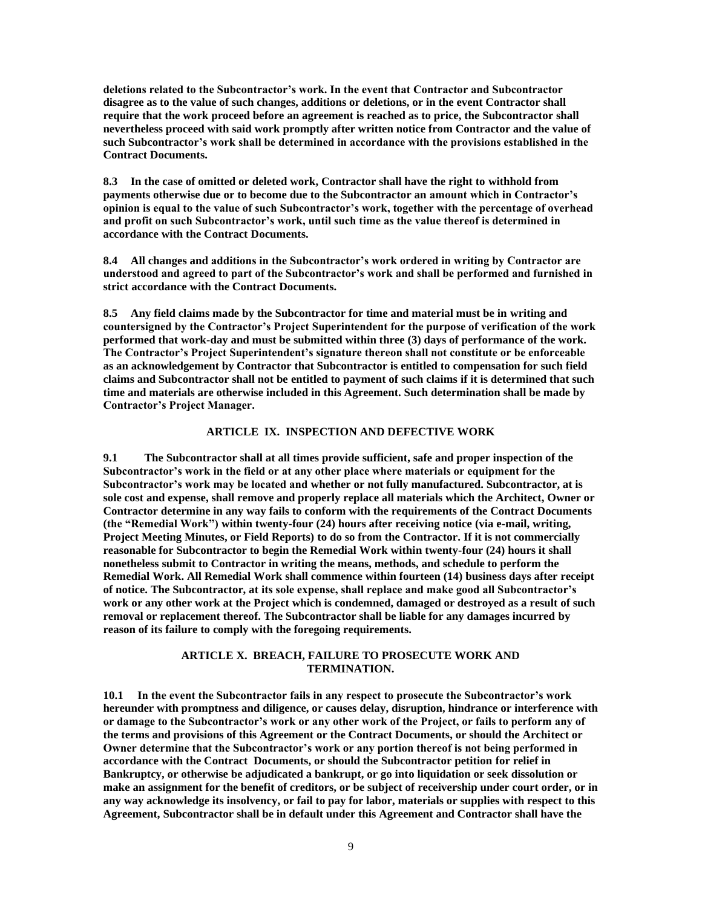**deletions related to the Subcontractor's work. In the event that Contractor and Subcontractor disagree as to the value of such changes, additions or deletions, or in the event Contractor shall require that the work proceed before an agreement is reached as to price, the Subcontractor shall nevertheless proceed with said work promptly after written notice from Contractor and the value of such Subcontractor's work shall be determined in accordance with the provisions established in the Contract Documents.**

**8.3 In the case of omitted or deleted work, Contractor shall have the right to withhold from payments otherwise due or to become due to the Subcontractor an amount which in Contractor's opinion is equal to the value of such Subcontractor's work, together with the percentage of overhead and profit on such Subcontractor's work, until such time as the value thereof is determined in accordance with the Contract Documents.**

**8.4 All changes and additions in the Subcontractor's work ordered in writing by Contractor are understood and agreed to part of the Subcontractor's work and shall be performed and furnished in strict accordance with the Contract Documents.**

**8.5 Any field claims made by the Subcontractor for time and material must be in writing and countersigned by the Contractor's Project Superintendent for the purpose of verification of the work performed that work-day and must be submitted within three (3) days of performance of the work. The Contractor's Project Superintendent's signature thereon shall not constitute or be enforceable as an acknowledgement by Contractor that Subcontractor is entitled to compensation for such field claims and Subcontractor shall not be entitled to payment of such claims if it is determined that such time and materials are otherwise included in this Agreement. Such determination shall be made by Contractor's Project Manager.**

#### **ARTICLE IX. INSPECTION AND DEFECTIVE WORK**

**9.1 The Subcontractor shall at all times provide sufficient, safe and proper inspection of the Subcontractor's work in the field or at any other place where materials or equipment for the Subcontractor's work may be located and whether or not fully manufactured. Subcontractor, at is sole cost and expense, shall remove and properly replace all materials which the Architect, Owner or Contractor determine in any way fails to conform with the requirements of the Contract Documents (the "Remedial Work") within twenty-four (24) hours after receiving notice (via e-mail, writing, Project Meeting Minutes, or Field Reports) to do so from the Contractor. If it is not commercially reasonable for Subcontractor to begin the Remedial Work within twenty-four (24) hours it shall nonetheless submit to Contractor in writing the means, methods, and schedule to perform the Remedial Work. All Remedial Work shall commence within fourteen (14) business days after receipt of notice. The Subcontractor, at its sole expense, shall replace and make good all Subcontractor's work or any other work at the Project which is condemned, damaged or destroyed as a result of such removal or replacement thereof. The Subcontractor shall be liable for any damages incurred by reason of its failure to comply with the foregoing requirements.**

#### **ARTICLE X. BREACH, FAILURE TO PROSECUTE WORK AND TERMINATION.**

**10.1 In the event the Subcontractor fails in any respect to prosecute the Subcontractor's work hereunder with promptness and diligence, or causes delay, disruption, hindrance or interference with or damage to the Subcontractor's work or any other work of the Project, or fails to perform any of the terms and provisions of this Agreement or the Contract Documents, or should the Architect or Owner determine that the Subcontractor's work or any portion thereof is not being performed in accordance with the Contract Documents, or should the Subcontractor petition for relief in Bankruptcy, or otherwise be adjudicated a bankrupt, or go into liquidation or seek dissolution or make an assignment for the benefit of creditors, or be subject of receivership under court order, or in any way acknowledge its insolvency, or fail to pay for labor, materials or supplies with respect to this Agreement, Subcontractor shall be in default under this Agreement and Contractor shall have the**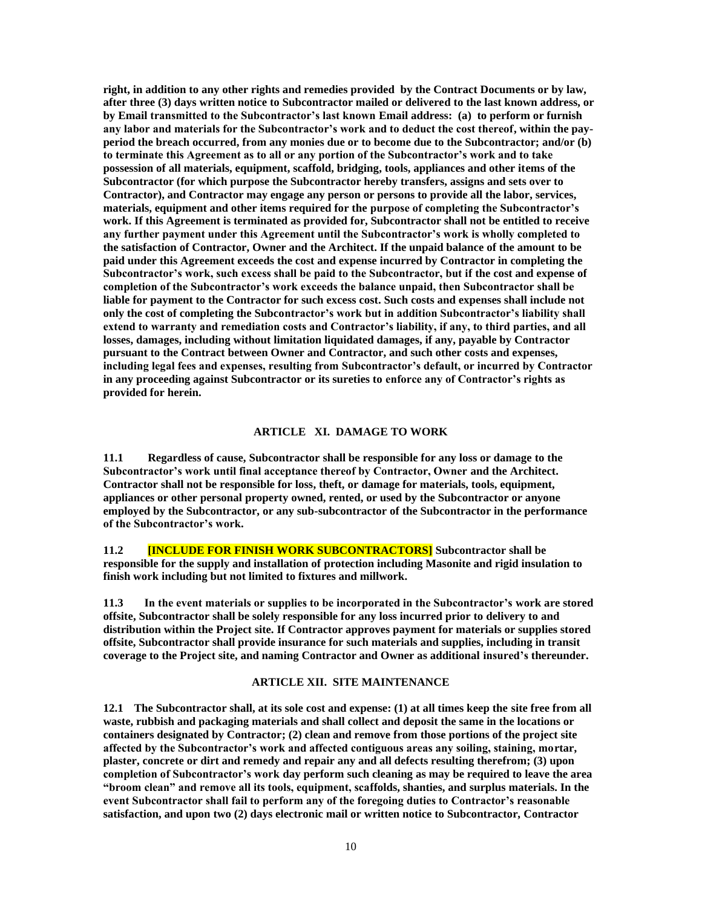**right, in addition to any other rights and remedies provided by the Contract Documents or by law, after three (3) days written notice to Subcontractor mailed or delivered to the last known address, or by Email transmitted to the Subcontractor's last known Email address: (a) to perform or furnish any labor and materials for the Subcontractor's work and to deduct the cost thereof, within the payperiod the breach occurred, from any monies due or to become due to the Subcontractor; and/or (b) to terminate this Agreement as to all or any portion of the Subcontractor's work and to take possession of all materials, equipment, scaffold, bridging, tools, appliances and other items of the Subcontractor (for which purpose the Subcontractor hereby transfers, assigns and sets over to Contractor), and Contractor may engage any person or persons to provide all the labor, services, materials, equipment and other items required for the purpose of completing the Subcontractor's work. If this Agreement is terminated as provided for, Subcontractor shall not be entitled to receive any further payment under this Agreement until the Subcontractor's work is wholly completed to the satisfaction of Contractor, Owner and the Architect. If the unpaid balance of the amount to be paid under this Agreement exceeds the cost and expense incurred by Contractor in completing the Subcontractor's work, such excess shall be paid to the Subcontractor, but if the cost and expense of completion of the Subcontractor's work exceeds the balance unpaid, then Subcontractor shall be liable for payment to the Contractor for such excess cost. Such costs and expenses shall include not only the cost of completing the Subcontractor's work but in addition Subcontractor's liability shall extend to warranty and remediation costs and Contractor's liability, if any, to third parties, and all losses, damages, including without limitation liquidated damages, if any, payable by Contractor pursuant to the Contract between Owner and Contractor, and such other costs and expenses, including legal fees and expenses, resulting from Subcontractor's default, or incurred by Contractor in any proceeding against Subcontractor or its sureties to enforce any of Contractor's rights as provided for herein.**

#### **ARTICLE XI. DAMAGE TO WORK**

**11.1 Regardless of cause, Subcontractor shall be responsible for any loss or damage to the Subcontractor's work until final acceptance thereof by Contractor, Owner and the Architect. Contractor shall not be responsible for loss, theft, or damage for materials, tools, equipment, appliances or other personal property owned, rented, or used by the Subcontractor or anyone employed by the Subcontractor, or any sub-subcontractor of the Subcontractor in the performance of the Subcontractor's work.**

**11.2 [INCLUDE FOR FINISH WORK SUBCONTRACTORS] Subcontractor shall be responsible for the supply and installation of protection including Masonite and rigid insulation to finish work including but not limited to fixtures and millwork.** 

**11.3 In the event materials or supplies to be incorporated in the Subcontractor's work are stored offsite, Subcontractor shall be solely responsible for any loss incurred prior to delivery to and distribution within the Project site. If Contractor approves payment for materials or supplies stored offsite, Subcontractor shall provide insurance for such materials and supplies, including in transit coverage to the Project site, and naming Contractor and Owner as additional insured's thereunder.**

#### **ARTICLE XII. SITE MAINTENANCE**

**12.1 The Subcontractor shall, at its sole cost and expense: (1) at all times keep the site free from all waste, rubbish and packaging materials and shall collect and deposit the same in the locations or containers designated by Contractor; (2) clean and remove from those portions of the project site affected by the Subcontractor's work and affected contiguous areas any soiling, staining, mortar, plaster, concrete or dirt and remedy and repair any and all defects resulting therefrom; (3) upon completion of Subcontractor's work day perform such cleaning as may be required to leave the area "broom clean" and remove all its tools, equipment, scaffolds, shanties, and surplus materials. In the event Subcontractor shall fail to perform any of the foregoing duties to Contractor's reasonable satisfaction, and upon two (2) days electronic mail or written notice to Subcontractor, Contractor**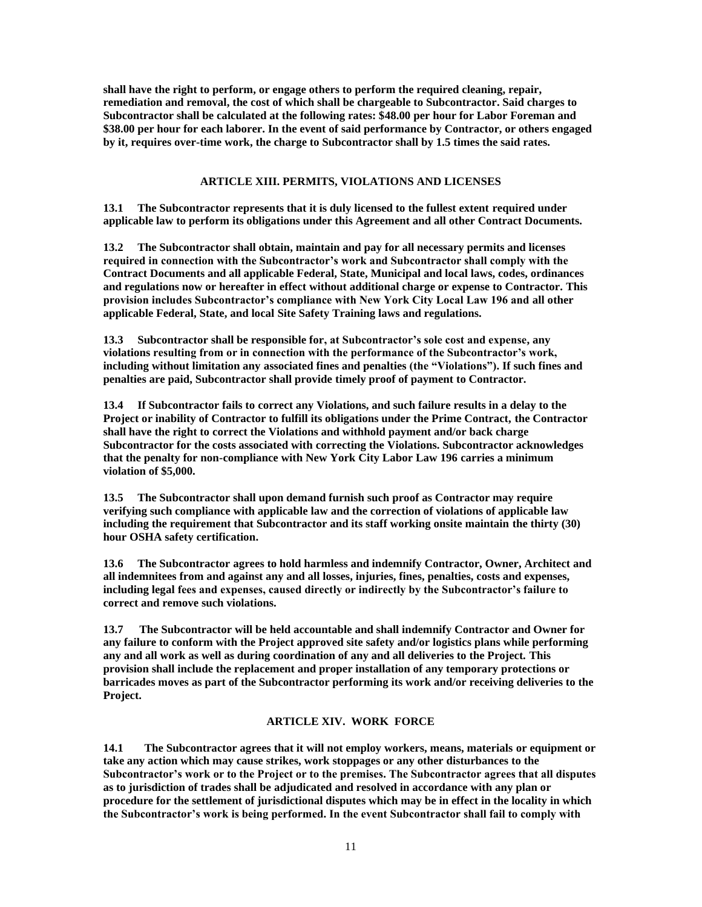**shall have the right to perform, or engage others to perform the required cleaning, repair, remediation and removal, the cost of which shall be chargeable to Subcontractor. Said charges to Subcontractor shall be calculated at the following rates: \$48.00 per hour for Labor Foreman and \$38.00 per hour for each laborer. In the event of said performance by Contractor, or others engaged by it, requires over-time work, the charge to Subcontractor shall by 1.5 times the said rates.**

## **ARTICLE XIII. PERMITS, VIOLATIONS AND LICENSES**

**13.1 The Subcontractor represents that it is duly licensed to the fullest extent required under applicable law to perform its obligations under this Agreement and all other Contract Documents.**

**13.2 The Subcontractor shall obtain, maintain and pay for all necessary permits and licenses required in connection with the Subcontractor's work and Subcontractor shall comply with the Contract Documents and all applicable Federal, State, Municipal and local laws, codes, ordinances and regulations now or hereafter in effect without additional charge or expense to Contractor. This provision includes Subcontractor's compliance with New York City Local Law 196 and all other applicable Federal, State, and local Site Safety Training laws and regulations.** 

**13.3 Subcontractor shall be responsible for, at Subcontractor's sole cost and expense, any violations resulting from or in connection with the performance of the Subcontractor's work, including without limitation any associated fines and penalties (the "Violations"). If such fines and penalties are paid, Subcontractor shall provide timely proof of payment to Contractor.** 

**13.4 If Subcontractor fails to correct any Violations, and such failure results in a delay to the Project or inability of Contractor to fulfill its obligations under the Prime Contract, the Contractor shall have the right to correct the Violations and withhold payment and/or back charge Subcontractor for the costs associated with correcting the Violations. Subcontractor acknowledges that the penalty for non-compliance with New York City Labor Law 196 carries a minimum violation of \$5,000.**

**13.5 The Subcontractor shall upon demand furnish such proof as Contractor may require verifying such compliance with applicable law and the correction of violations of applicable law including the requirement that Subcontractor and its staff working onsite maintain the thirty (30) hour OSHA safety certification.** 

**13.6 The Subcontractor agrees to hold harmless and indemnify Contractor, Owner, Architect and all indemnitees from and against any and all losses, injuries, fines, penalties, costs and expenses, including legal fees and expenses, caused directly or indirectly by the Subcontractor's failure to correct and remove such violations.**

**13.7 The Subcontractor will be held accountable and shall indemnify Contractor and Owner for any failure to conform with the Project approved site safety and/or logistics plans while performing any and all work as well as during coordination of any and all deliveries to the Project. This provision shall include the replacement and proper installation of any temporary protections or barricades moves as part of the Subcontractor performing its work and/or receiving deliveries to the Project.** 

## **ARTICLE XIV. WORK FORCE**

**14.1 The Subcontractor agrees that it will not employ workers, means, materials or equipment or take any action which may cause strikes, work stoppages or any other disturbances to the Subcontractor's work or to the Project or to the premises. The Subcontractor agrees that all disputes as to jurisdiction of trades shall be adjudicated and resolved in accordance with any plan or procedure for the settlement of jurisdictional disputes which may be in effect in the locality in which the Subcontractor's work is being performed. In the event Subcontractor shall fail to comply with**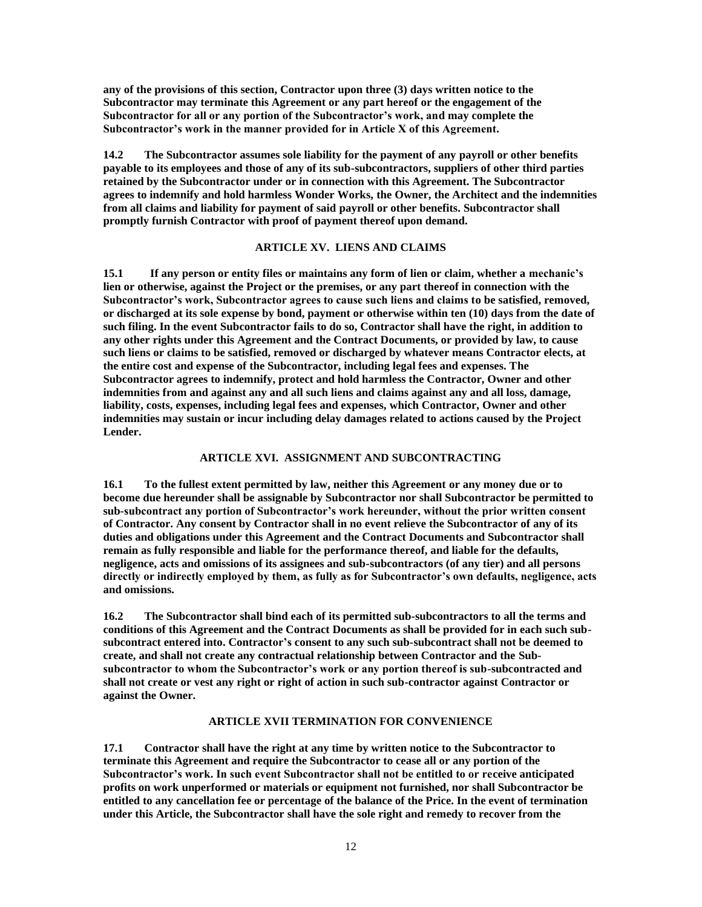**any of the provisions of this section, Contractor upon three (3) days written notice to the Subcontractor may terminate this Agreement or any part hereof or the engagement of the Subcontractor for all or any portion of the Subcontractor's work, and may complete the Subcontractor's work in the manner provided for in Article X of this Agreement.**

**14.2 The Subcontractor assumes sole liability for the payment of any payroll or other benefits payable to its employees and those of any of its sub-subcontractors, suppliers of other third parties retained by the Subcontractor under or in connection with this Agreement. The Subcontractor agrees to indemnify and hold harmless Wonder Works, the Owner, the Architect and the indemnities from all claims and liability for payment of said payroll or other benefits. Subcontractor shall promptly furnish Contractor with proof of payment thereof upon demand.**

#### **ARTICLE XV. LIENS AND CLAIMS**

**15.1 If any person or entity files or maintains any form of lien or claim, whether a mechanic's lien or otherwise, against the Project or the premises, or any part thereof in connection with the Subcontractor's work, Subcontractor agrees to cause such liens and claims to be satisfied, removed, or discharged at its sole expense by bond, payment or otherwise within ten (10) days from the date of such filing. In the event Subcontractor fails to do so, Contractor shall have the right, in addition to any other rights under this Agreement and the Contract Documents, or provided by law, to cause such liens or claims to be satisfied, removed or discharged by whatever means Contractor elects, at the entire cost and expense of the Subcontractor, including legal fees and expenses. The Subcontractor agrees to indemnify, protect and hold harmless the Contractor, Owner and other indemnities from and against any and all such liens and claims against any and all loss, damage, liability, costs, expenses, including legal fees and expenses, which Contractor, Owner and other indemnities may sustain or incur including delay damages related to actions caused by the Project Lender.**

#### **ARTICLE XVI. ASSIGNMENT AND SUBCONTRACTING**

**16.1 To the fullest extent permitted by law, neither this Agreement or any money due or to become due hereunder shall be assignable by Subcontractor nor shall Subcontractor be permitted to sub-subcontract any portion of Subcontractor's work hereunder, without the prior written consent of Contractor. Any consent by Contractor shall in no event relieve the Subcontractor of any of its duties and obligations under this Agreement and the Contract Documents and Subcontractor shall remain as fully responsible and liable for the performance thereof, and liable for the defaults, negligence, acts and omissions of its assignees and sub-subcontractors (of any tier) and all persons directly or indirectly employed by them, as fully as for Subcontractor's own defaults, negligence, acts and omissions.**

**16.2 The Subcontractor shall bind each of its permitted sub-subcontractors to all the terms and conditions of this Agreement and the Contract Documents as shall be provided for in each such subsubcontract entered into. Contractor's consent to any such sub-subcontract shall not be deemed to create, and shall not create any contractual relationship between Contractor and the Subsubcontractor to whom the Subcontractor's work or any portion thereof is sub-subcontracted and shall not create or vest any right or right of action in such sub-contractor against Contractor or against the Owner.**

## **ARTICLE XVII TERMINATION FOR CONVENIENCE**

**17.1 Contractor shall have the right at any time by written notice to the Subcontractor to terminate this Agreement and require the Subcontractor to cease all or any portion of the Subcontractor's work. In such event Subcontractor shall not be entitled to or receive anticipated profits on work unperformed or materials or equipment not furnished, nor shall Subcontractor be entitled to any cancellation fee or percentage of the balance of the Price. In the event of termination under this Article, the Subcontractor shall have the sole right and remedy to recover from the**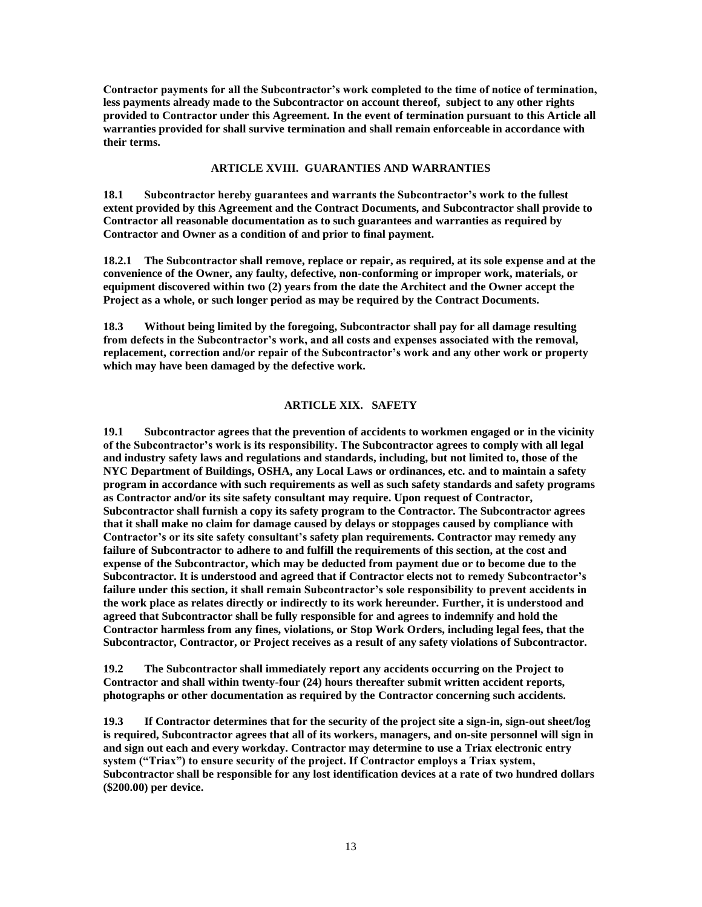**Contractor payments for all the Subcontractor's work completed to the time of notice of termination, less payments already made to the Subcontractor on account thereof, subject to any other rights provided to Contractor under this Agreement. In the event of termination pursuant to this Article all warranties provided for shall survive termination and shall remain enforceable in accordance with their terms.**

#### **ARTICLE XVIII. GUARANTIES AND WARRANTIES**

**18.1 Subcontractor hereby guarantees and warrants the Subcontractor's work to the fullest extent provided by this Agreement and the Contract Documents, and Subcontractor shall provide to Contractor all reasonable documentation as to such guarantees and warranties as required by Contractor and Owner as a condition of and prior to final payment.**

**18.2.1 The Subcontractor shall remove, replace or repair, as required, at its sole expense and at the convenience of the Owner, any faulty, defective, non-conforming or improper work, materials, or equipment discovered within two (2) years from the date the Architect and the Owner accept the Project as a whole, or such longer period as may be required by the Contract Documents.**

**18.3 Without being limited by the foregoing, Subcontractor shall pay for all damage resulting from defects in the Subcontractor's work, and all costs and expenses associated with the removal, replacement, correction and/or repair of the Subcontractor's work and any other work or property which may have been damaged by the defective work.**

#### **ARTICLE XIX. SAFETY**

**19.1 Subcontractor agrees that the prevention of accidents to workmen engaged or in the vicinity of the Subcontractor's work is its responsibility. The Subcontractor agrees to comply with all legal and industry safety laws and regulations and standards, including, but not limited to, those of the NYC Department of Buildings, OSHA, any Local Laws or ordinances, etc. and to maintain a safety program in accordance with such requirements as well as such safety standards and safety programs as Contractor and/or its site safety consultant may require. Upon request of Contractor, Subcontractor shall furnish a copy its safety program to the Contractor. The Subcontractor agrees that it shall make no claim for damage caused by delays or stoppages caused by compliance with Contractor's or its site safety consultant's safety plan requirements. Contractor may remedy any failure of Subcontractor to adhere to and fulfill the requirements of this section, at the cost and expense of the Subcontractor, which may be deducted from payment due or to become due to the Subcontractor. It is understood and agreed that if Contractor elects not to remedy Subcontractor's failure under this section, it shall remain Subcontractor's sole responsibility to prevent accidents in the work place as relates directly or indirectly to its work hereunder. Further, it is understood and agreed that Subcontractor shall be fully responsible for and agrees to indemnify and hold the Contractor harmless from any fines, violations, or Stop Work Orders, including legal fees, that the Subcontractor, Contractor, or Project receives as a result of any safety violations of Subcontractor.**

**19.2 The Subcontractor shall immediately report any accidents occurring on the Project to Contractor and shall within twenty-four (24) hours thereafter submit written accident reports, photographs or other documentation as required by the Contractor concerning such accidents.**

**19.3 If Contractor determines that for the security of the project site a sign-in, sign-out sheet/log is required, Subcontractor agrees that all of its workers, managers, and on-site personnel will sign in and sign out each and every workday. Contractor may determine to use a Triax electronic entry system ("Triax") to ensure security of the project. If Contractor employs a Triax system, Subcontractor shall be responsible for any lost identification devices at a rate of two hundred dollars (\$200.00) per device.**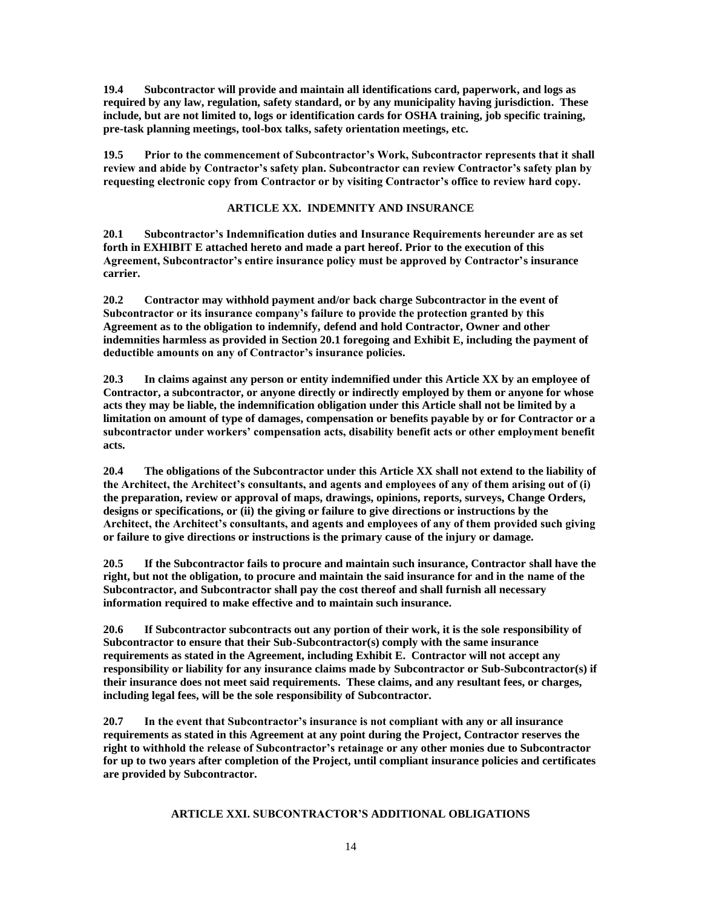**19.4 Subcontractor will provide and maintain all identifications card, paperwork, and logs as required by any law, regulation, safety standard, or by any municipality having jurisdiction. These include, but are not limited to, logs or identification cards for OSHA training, job specific training, pre-task planning meetings, tool-box talks, safety orientation meetings, etc.**

**19.5 Prior to the commencement of Subcontractor's Work, Subcontractor represents that it shall review and abide by Contractor's safety plan. Subcontractor can review Contractor's safety plan by requesting electronic copy from Contractor or by visiting Contractor's office to review hard copy.**

## **ARTICLE XX. INDEMNITY AND INSURANCE**

**20.1 Subcontractor's Indemnification duties and Insurance Requirements hereunder are as set forth in EXHIBIT E attached hereto and made a part hereof. Prior to the execution of this Agreement, Subcontractor's entire insurance policy must be approved by Contractor's insurance carrier.** 

**20.2 Contractor may withhold payment and/or back charge Subcontractor in the event of Subcontractor or its insurance company's failure to provide the protection granted by this Agreement as to the obligation to indemnify, defend and hold Contractor, Owner and other indemnities harmless as provided in Section 20.1 foregoing and Exhibit E, including the payment of deductible amounts on any of Contractor's insurance policies.**

**20.3 In claims against any person or entity indemnified under this Article XX by an employee of Contractor, a subcontractor, or anyone directly or indirectly employed by them or anyone for whose acts they may be liable, the indemnification obligation under this Article shall not be limited by a limitation on amount of type of damages, compensation or benefits payable by or for Contractor or a subcontractor under workers' compensation acts, disability benefit acts or other employment benefit acts.**

**20.4 The obligations of the Subcontractor under this Article XX shall not extend to the liability of the Architect, the Architect's consultants, and agents and employees of any of them arising out of (i) the preparation, review or approval of maps, drawings, opinions, reports, surveys, Change Orders, designs or specifications, or (ii) the giving or failure to give directions or instructions by the Architect, the Architect's consultants, and agents and employees of any of them provided such giving or failure to give directions or instructions is the primary cause of the injury or damage.**

**20.5 If the Subcontractor fails to procure and maintain such insurance, Contractor shall have the right, but not the obligation, to procure and maintain the said insurance for and in the name of the Subcontractor, and Subcontractor shall pay the cost thereof and shall furnish all necessary information required to make effective and to maintain such insurance.**

**20.6 If Subcontractor subcontracts out any portion of their work, it is the sole responsibility of Subcontractor to ensure that their Sub-Subcontractor(s) comply with the same insurance requirements as stated in the Agreement, including Exhibit E. Contractor will not accept any responsibility or liability for any insurance claims made by Subcontractor or Sub-Subcontractor(s) if their insurance does not meet said requirements. These claims, and any resultant fees, or charges, including legal fees, will be the sole responsibility of Subcontractor.**

**20.7 In the event that Subcontractor's insurance is not compliant with any or all insurance requirements as stated in this Agreement at any point during the Project, Contractor reserves the right to withhold the release of Subcontractor's retainage or any other monies due to Subcontractor for up to two years after completion of the Project, until compliant insurance policies and certificates are provided by Subcontractor.** 

## **ARTICLE XXI. SUBCONTRACTOR'S ADDITIONAL OBLIGATIONS**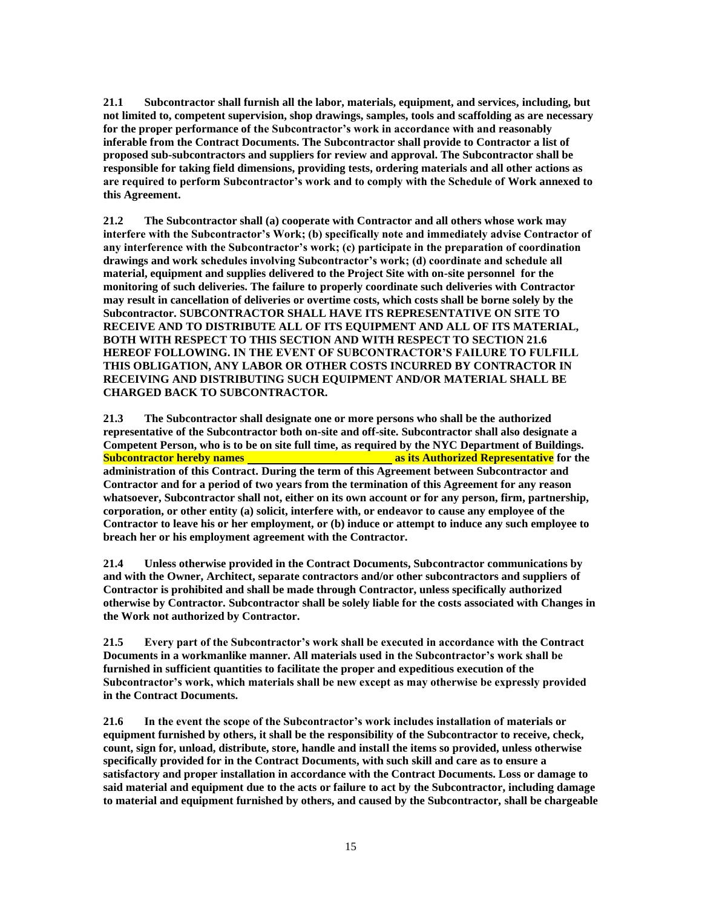**21.1 Subcontractor shall furnish all the labor, materials, equipment, and services, including, but not limited to, competent supervision, shop drawings, samples, tools and scaffolding as are necessary for the proper performance of the Subcontractor's work in accordance with and reasonably inferable from the Contract Documents. The Subcontractor shall provide to Contractor a list of proposed sub-subcontractors and suppliers for review and approval. The Subcontractor shall be responsible for taking field dimensions, providing tests, ordering materials and all other actions as are required to perform Subcontractor's work and to comply with the Schedule of Work annexed to this Agreement.** 

**21.2 The Subcontractor shall (a) cooperate with Contractor and all others whose work may interfere with the Subcontractor's Work; (b) specifically note and immediately advise Contractor of any interference with the Subcontractor's work; (c) participate in the preparation of coordination drawings and work schedules involving Subcontractor's work; (d) coordinate and schedule all material, equipment and supplies delivered to the Project Site with on-site personnel for the monitoring of such deliveries. The failure to properly coordinate such deliveries with Contractor may result in cancellation of deliveries or overtime costs, which costs shall be borne solely by the Subcontractor. SUBCONTRACTOR SHALL HAVE ITS REPRESENTATIVE ON SITE TO RECEIVE AND TO DISTRIBUTE ALL OF ITS EQUIPMENT AND ALL OF ITS MATERIAL, BOTH WITH RESPECT TO THIS SECTION AND WITH RESPECT TO SECTION 21.6 HEREOF FOLLOWING. IN THE EVENT OF SUBCONTRACTOR'S FAILURE TO FULFILL THIS OBLIGATION, ANY LABOR OR OTHER COSTS INCURRED BY CONTRACTOR IN RECEIVING AND DISTRIBUTING SUCH EQUIPMENT AND/OR MATERIAL SHALL BE CHARGED BACK TO SUBCONTRACTOR.**

**21.3 The Subcontractor shall designate one or more persons who shall be the authorized representative of the Subcontractor both on-site and off-site. Subcontractor shall also designate a Competent Person, who is to be on site full time, as required by the NYC Department of Buildings. Subcontractor hereby names as its Authorized Representative for the administration of this Contract. During the term of this Agreement between Subcontractor and Contractor and for a period of two years from the termination of this Agreement for any reason whatsoever, Subcontractor shall not, either on its own account or for any person, firm, partnership, corporation, or other entity (a) solicit, interfere with, or endeavor to cause any employee of the Contractor to leave his or her employment, or (b) induce or attempt to induce any such employee to breach her or his employment agreement with the Contractor.**

**21.4 Unless otherwise provided in the Contract Documents, Subcontractor communications by and with the Owner, Architect, separate contractors and/or other subcontractors and suppliers of Contractor is prohibited and shall be made through Contractor, unless specifically authorized otherwise by Contractor. Subcontractor shall be solely liable for the costs associated with Changes in the Work not authorized by Contractor.** 

**21.5 Every part of the Subcontractor's work shall be executed in accordance with the Contract Documents in a workmanlike manner. All materials used in the Subcontractor's work shall be furnished in sufficient quantities to facilitate the proper and expeditious execution of the Subcontractor's work, which materials shall be new except as may otherwise be expressly provided in the Contract Documents.**

**21.6 In the event the scope of the Subcontractor's work includes installation of materials or equipment furnished by others, it shall be the responsibility of the Subcontractor to receive, check, count, sign for, unload, distribute, store, handle and install the items so provided, unless otherwise specifically provided for in the Contract Documents, with such skill and care as to ensure a satisfactory and proper installation in accordance with the Contract Documents. Loss or damage to said material and equipment due to the acts or failure to act by the Subcontractor, including damage to material and equipment furnished by others, and caused by the Subcontractor, shall be chargeable**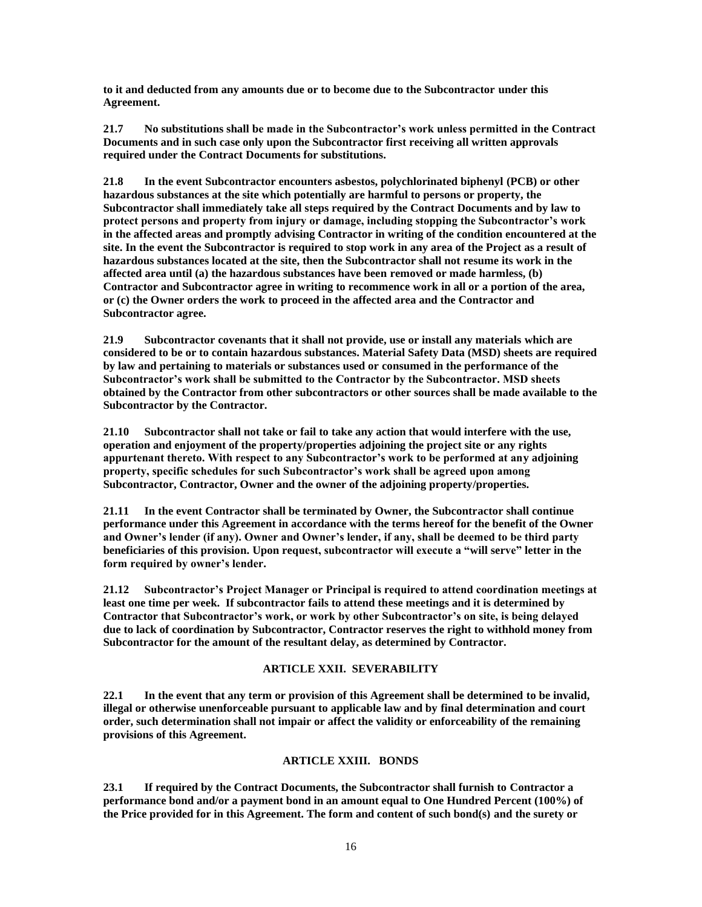**to it and deducted from any amounts due or to become due to the Subcontractor under this Agreement.**

**21.7 No substitutions shall be made in the Subcontractor's work unless permitted in the Contract Documents and in such case only upon the Subcontractor first receiving all written approvals required under the Contract Documents for substitutions.**

**21.8 In the event Subcontractor encounters asbestos, polychlorinated biphenyl (PCB) or other hazardous substances at the site which potentially are harmful to persons or property, the Subcontractor shall immediately take all steps required by the Contract Documents and by law to protect persons and property from injury or damage, including stopping the Subcontractor's work in the affected areas and promptly advising Contractor in writing of the condition encountered at the site. In the event the Subcontractor is required to stop work in any area of the Project as a result of hazardous substances located at the site, then the Subcontractor shall not resume its work in the affected area until (a) the hazardous substances have been removed or made harmless, (b) Contractor and Subcontractor agree in writing to recommence work in all or a portion of the area, or (c) the Owner orders the work to proceed in the affected area and the Contractor and Subcontractor agree.**

**21.9 Subcontractor covenants that it shall not provide, use or install any materials which are considered to be or to contain hazardous substances. Material Safety Data (MSD) sheets are required by law and pertaining to materials or substances used or consumed in the performance of the Subcontractor's work shall be submitted to the Contractor by the Subcontractor. MSD sheets obtained by the Contractor from other subcontractors or other sources shall be made available to the Subcontractor by the Contractor.**

**21.10 Subcontractor shall not take or fail to take any action that would interfere with the use, operation and enjoyment of the property/properties adjoining the project site or any rights appurtenant thereto. With respect to any Subcontractor's work to be performed at any adjoining property, specific schedules for such Subcontractor's work shall be agreed upon among Subcontractor, Contractor, Owner and the owner of the adjoining property/properties.**

**21.11 In the event Contractor shall be terminated by Owner, the Subcontractor shall continue performance under this Agreement in accordance with the terms hereof for the benefit of the Owner and Owner's lender (if any). Owner and Owner's lender, if any, shall be deemed to be third party beneficiaries of this provision. Upon request, subcontractor will execute a "will serve" letter in the form required by owner's lender.**

**21.12 Subcontractor's Project Manager or Principal is required to attend coordination meetings at least one time per week. If subcontractor fails to attend these meetings and it is determined by Contractor that Subcontractor's work, or work by other Subcontractor's on site, is being delayed due to lack of coordination by Subcontractor, Contractor reserves the right to withhold money from Subcontractor for the amount of the resultant delay, as determined by Contractor.**

# **ARTICLE XXII. SEVERABILITY**

**22.1 In the event that any term or provision of this Agreement shall be determined to be invalid, illegal or otherwise unenforceable pursuant to applicable law and by final determination and court order, such determination shall not impair or affect the validity or enforceability of the remaining provisions of this Agreement.**

## **ARTICLE XXIII. BONDS**

**23.1 If required by the Contract Documents, the Subcontractor shall furnish to Contractor a performance bond and/or a payment bond in an amount equal to One Hundred Percent (100%) of the Price provided for in this Agreement. The form and content of such bond(s) and the surety or**